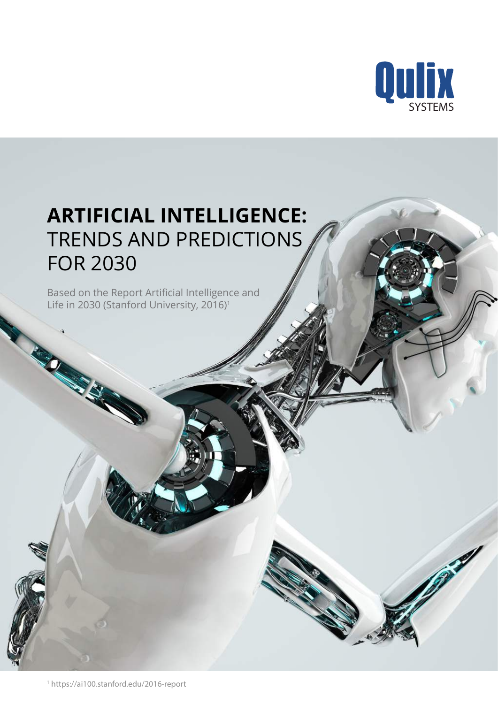

# **ARTIFICIAL INTELLIGENCE:**  TRENDS AND PREDICTIONS FOR 2030

Based on the Report Artificial Intelligence and Life in 2030 (Stanford University, 2016)<sup>1</sup>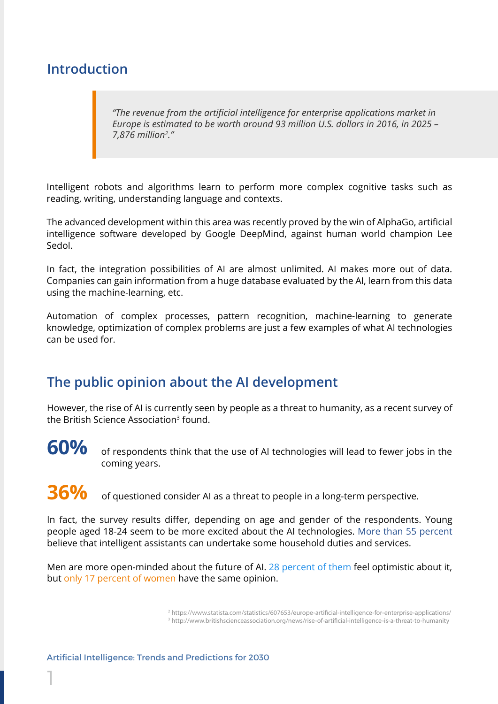### **Introduction**

*"The revenue from the artificial intelligence for enterprise applications market in Europe is estimated to be worth around 93 million U.S. dollars in 2016, in 2025 – 7,876 million2 ."*

Intelligent robots and algorithms learn to perform more complex cognitive tasks such as reading, writing, understanding language and contexts.

The advanced development within this area was recently proved by the win of AlphaGo, artificial intelligence software developed by Google DeepMind, against human world champion Lee Sedol.

In fact, the integration possibilities of AI are almost unlimited. AI makes more out of data. Companies can gain information from a huge database evaluated by the AI, learn from this data using the machine-learning, etc.

Automation of complex processes, pattern recognition, machine-learning to generate knowledge, optimization of complex problems are just a few examples of what AI technologies can be used for.

### **The public opinion about the AI development**

However, the rise of AI is currently seen by people as a threat to humanity, as a recent survey of the British Science Association<sup>3</sup> found.



1

of respondents think that the use of AI technologies will lead to fewer jobs in the coming years.

**36%** of questioned consider AI as a threat to people in a long-term perspective.

In fact, the survey results differ, depending on age and gender of the respondents. Young people aged 18-24 seem to be more excited about the AI technologies. More than 55 percent believe that intelligent assistants can undertake some household duties and services.

Men are more open-minded about the future of AI. 28 percent of them feel optimistic about it, but only 17 percent of women have the same opinion.

> <sup>2</sup> https://www.statista.com/statistics/607653/europe-artificial-intelligence-for-enterprise-applications/ <sup>3</sup> http://www.britishscienceassociation.org/news/rise-of-artificial-intelligence-is-a-threat-to-humanity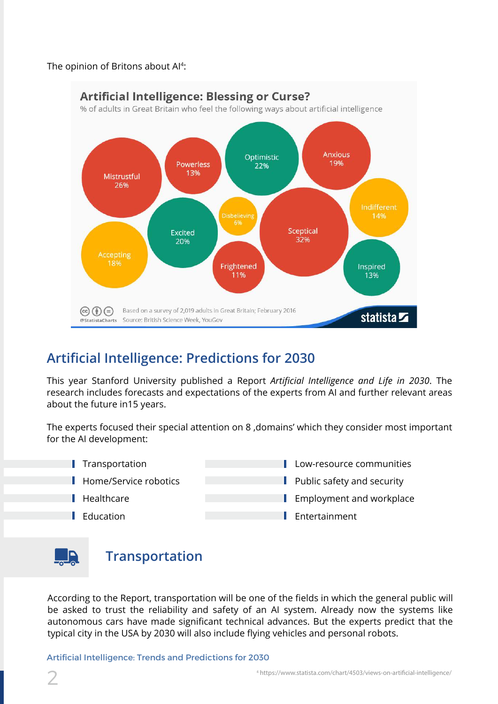#### The opinion of Britons about Al<sup>4</sup>:



### **Artificial Intelligence: Predictions for 2030**

This year Stanford University published a Report *Artificial Intelligence and Life in 2030*. The research includes forecasts and expectations of the experts from AI and further relevant areas about the future in15 years.

The experts focused their special attention on 8, domains' which they consider most important for the AI development:

- Transportation
- Home/Service robotics
- Healthcare
- $\blacksquare$  Education
- Low-resource communities
- Public safety and security
- Employment and workplace
- **Entertainment**



### **Transportation**

According to the Report, transportation will be one of the fields in which the general public will be asked to trust the reliability and safety of an AI system. Already now the systems like autonomous cars have made significant technical advances. But the experts predict that the typical city in the USA by 2030 will also include flying vehicles and personal robots.

Artificial Intelligence: Trends and Predictions for 2030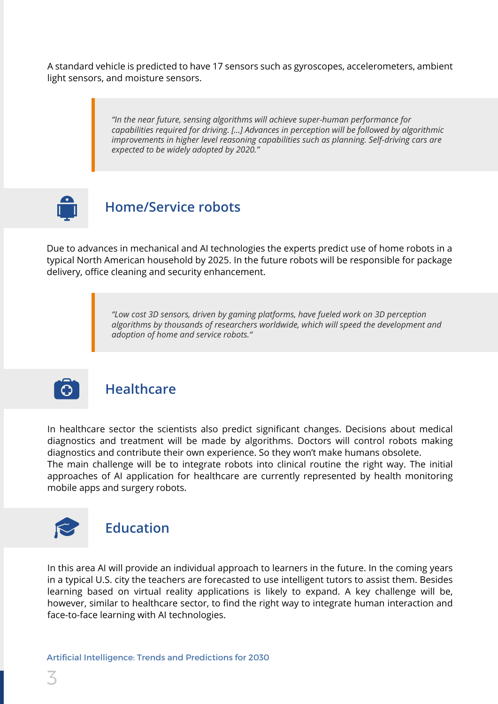A standard vehicle is predicted to have 17 sensors such as gyroscopes, accelerometers, ambient light sensors, and moisture sensors.

> *"In the near future, sensing algorithms will achieve super-human performance for capabilities required for driving. [...] Advances in perception will be followed by algorithmic improvements in higher level reasoning capabilities such as planning. Self-driving cars are expected to be widely adopted by 2020."*



### **Home/Service robots**

Due to advances in mechanical and AI technologies the experts predict use of home robots in a typical North American household by 2025. In the future robots will be responsible for package delivery, office cleaning and security enhancement.

> *"Low cost 3D sensors, driven by gaming platforms, have fueled work on 3D perception algorithms by thousands of researchers worldwide, which will speed the development and adoption of home and service robots."*



#### **Healthcare**

In healthcare sector the scientists also predict significant changes. Decisions about medical diagnostics and treatment will be made by algorithms. Doctors will control robots making diagnostics and contribute their own experience. So they won't make humans obsolete. The main challenge will be to integrate robots into clinical routine the right way. The initial approaches of AI application for healthcare are currently represented by health monitoring mobile apps and surgery robots.



In this area AI will provide an individual approach to learners in the future. In the coming years in a typical U.S. city the teachers are forecasted to use intelligent tutors to assist them. Besides learning based on virtual reality applications is likely to expand. A key challenge will be, however, similar to healthcare sector, to find the right way to integrate human interaction and face-to-face learning with AI technologies.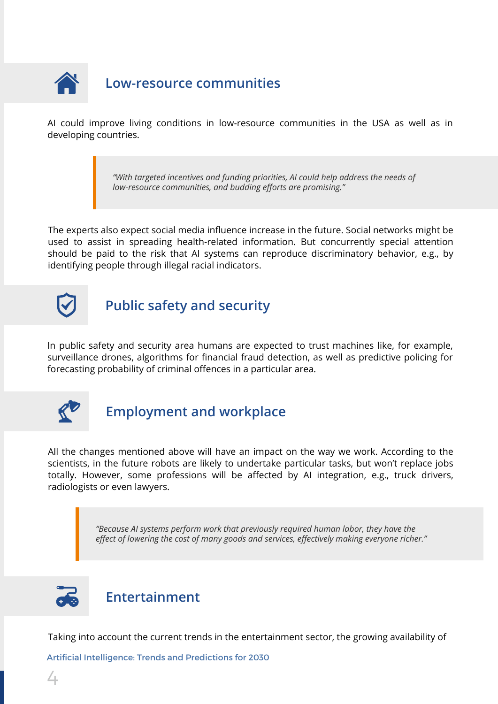

### **Low-resource communities**

AI could improve living conditions in low-resource communities in the USA as well as in developing countries.

> *"With targeted incentives and funding priorities, AI could help address the needs of low-resource communities, and budding efforts are promising."*

The experts also expect social media influence increase in the future. Social networks might be used to assist in spreading health-related information. But concurrently special attention should be paid to the risk that AI systems can reproduce discriminatory behavior, e.g., by identifying people through illegal racial indicators.



## **Public safety and security**

In public safety and security area humans are expected to trust machines like, for example, surveillance drones, algorithms for financial fraud detection, as well as predictive policing for forecasting probability of criminal offences in a particular area.



## **Employment and workplace**

All the changes mentioned above will have an impact on the way we work. According to the scientists, in the future robots are likely to undertake particular tasks, but won't replace jobs totally. However, some professions will be affected by AI integration, e.g., truck drivers, radiologists or even lawyers.

> *"Because AI systems perform work that previously required human labor, they have the effect of lowering the cost of many goods and services, effectively making everyone richer."*



### **Entertainment**

Taking into account the current trends in the entertainment sector, the growing availability of

Artificial Intelligence: Trends and Predictions for 2030